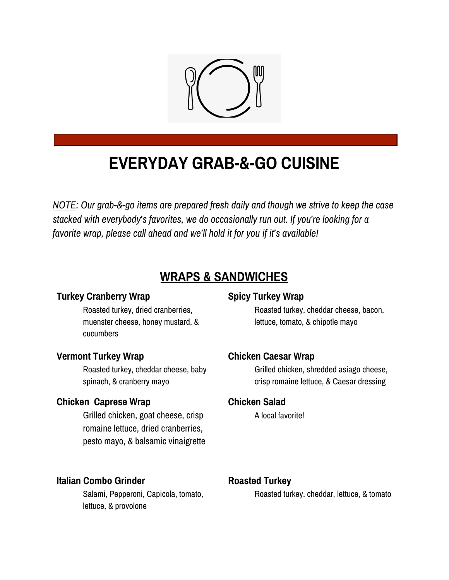

# **EVERYDAY GRAB-&-GO CUISINE**

*NOTE: Our grab-&-go items are prepared fresh daily and though we strive to keep the case stacked with everybody's favorites, we do occasionally run out. If you're looking for a favorite wrap, please call ahead and we'll hold it for you if it's available!*

# **WRAPS & SANDWICHES**

#### **Turkey Cranberry Wrap**

Roasted turkey, dried cranberries, muenster cheese, honey mustard, & cucumbers

#### **Vermont Turkey Wrap**

Roasted turkey, cheddar cheese, baby spinach, & cranberry mayo

#### **Chicken Caprese Wrap**

Grilled chicken, goat cheese, crisp romaine lettuce, dried cranberries, pesto mayo, & balsamic vinaigrette

#### **Italian Combo Grinder**

Salami, Pepperoni, Capicola, tomato, lettuce, & provolone

#### **Spicy Turkey Wrap**

Roasted turkey, cheddar cheese, bacon, lettuce, tomato, & chipotle mayo

#### **Chicken Caesar Wrap**

Grilled chicken, shredded asiago cheese, crisp romaine lettuce, & Caesar dressing

#### **Chicken Salad**

A local favorite!

#### **Roasted Turkey**

Roasted turkey, cheddar, lettuce, & tomato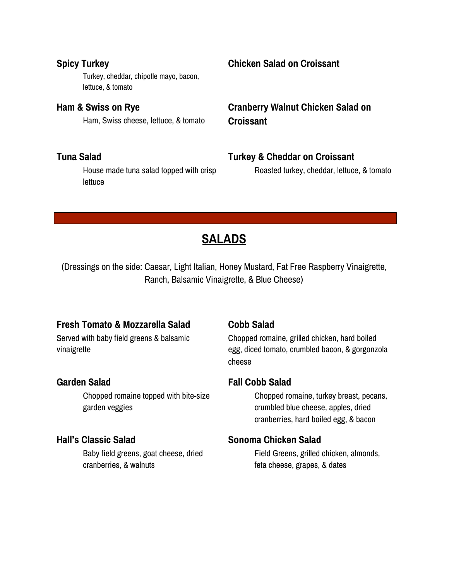#### **Spicy Turkey**

Turkey, cheddar, chipotle mayo, bacon, lettuce, & tomato

**Ham & Swiss on Rye** Ham, Swiss cheese, lettuce, & tomato

#### **Tuna Salad**

House made tuna salad topped with crisp lettuce

#### **Chicken Salad on Croissant**

**Cranberry Walnut Chicken Salad on Croissant**

#### **Turkey & Cheddar on Croissant**

Roasted turkey, cheddar, lettuce, & tomato

# **SALADS**

(Dressings on the side: Caesar, Light Italian, Honey Mustard, Fat Free Raspberry Vinaigrette, Ranch, Balsamic Vinaigrette, & Blue Cheese)

#### **Fresh Tomato & Mozzarella Salad**

Served with baby field greens & balsamic vinaigrette

#### **Garden Salad**

Chopped romaine topped with bite-size garden veggies

#### **Hall's Classic Salad**

Baby field greens, goat cheese, dried cranberries, & walnuts

#### **Cobb Salad**

Chopped romaine, grilled chicken, hard boiled egg, diced tomato, crumbled bacon, & gorgonzola cheese

#### **Fall Cobb Salad**

Chopped romaine, turkey breast, pecans, crumbled blue cheese, apples, dried cranberries, hard boiled egg, & bacon

#### **Sonoma Chicken Salad**

Field Greens, grilled chicken, almonds, feta cheese, grapes, & dates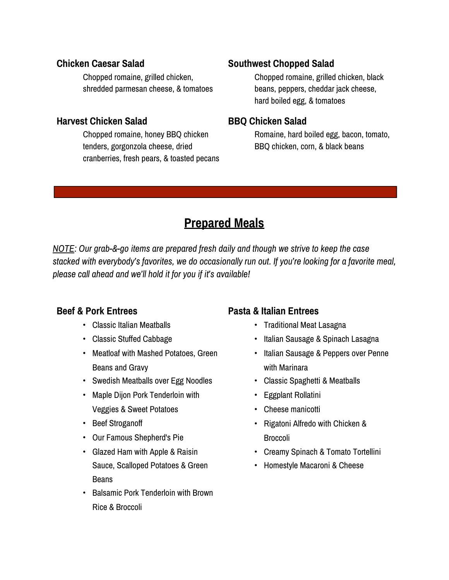#### **Chicken Caesar Salad**

Chopped romaine, grilled chicken, shredded parmesan cheese, & tomatoes

#### **Harvest Chicken Salad**

Chopped romaine, honey BBQ chicken tenders, gorgonzola cheese, dried cranberries, fresh pears, & toasted pecans

### **Southwest Chopped Salad**

Chopped romaine, grilled chicken, black beans, peppers, cheddar jack cheese, hard boiled egg, & tomatoes

#### **BBQ Chicken Salad**

Romaine, hard boiled egg, bacon, tomato, BBQ chicken, corn, & black beans

# **Prepared Meals**

*NOTE: Our grab-&-go items are prepared fresh daily and though we strive to keep the case stacked with everybody's favorites, we do occasionally run out. If you're looking for a favorite meal, please call ahead and we'll hold it for you if it's available!*

## **Beef & Pork Entrees**

- Classic Italian Meatballs
- Classic Stuffed Cabbage
- Meatloaf with Mashed Potatoes, Green Beans and Gravy
- Swedish Meatballs over Egg Noodles
- Maple Dijon Pork Tenderloin with Veggies & Sweet Potatoes
- Beef Stroganoff
- Our Famous Shepherd's Pie
- Glazed Ham with Apple & Raisin Sauce, Scalloped Potatoes & Green Beans
- Balsamic Pork Tenderloin with Brown Rice & Broccoli

# **Pasta & Italian Entrees**

- Traditional Meat Lasagna
- Italian Sausage & Spinach Lasagna
- Italian Sausage & Peppers over Penne with Marinara
- Classic Spaghetti & Meatballs
- Eggplant Rollatini
- Cheese manicotti
- Rigatoni Alfredo with Chicken & Broccoli
- Creamy Spinach & Tomato Tortellini
- Homestyle Macaroni & Cheese